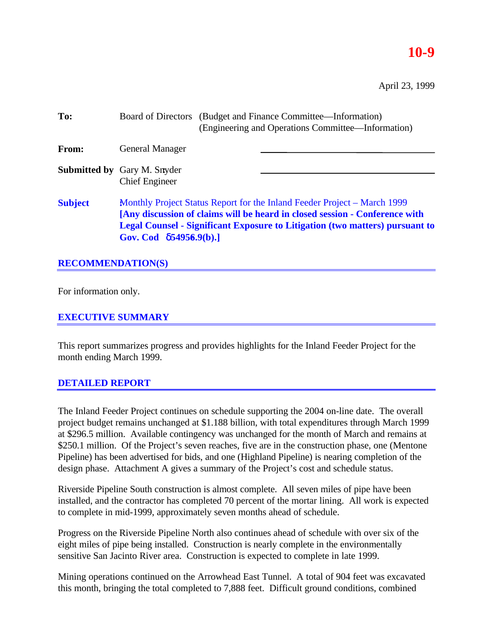# **10-9**

April 23, 1999

| To:            |                                                                                                                                                                                                                                                                                  |  | Board of Directors (Budget and Finance Committee—Information)<br>(Engineering and Operations Committee—Information) |  |  |  |
|----------------|----------------------------------------------------------------------------------------------------------------------------------------------------------------------------------------------------------------------------------------------------------------------------------|--|---------------------------------------------------------------------------------------------------------------------|--|--|--|
| <b>From:</b>   | <b>General Manager</b>                                                                                                                                                                                                                                                           |  |                                                                                                                     |  |  |  |
|                | <b>Submitted by Gary M. Snyder</b><br><b>Chief Engineer</b>                                                                                                                                                                                                                      |  |                                                                                                                     |  |  |  |
| <b>Subject</b> | Monthly Project Status Report for the Inland Feeder Project – March 1999<br>[Any discussion of claims will be heard in closed session - Conference with<br><b>Legal Counsel - Significant Exposure to Litigation (two matters) pursuant to</b><br>Gov. Cod $\delta$ 54956.9(b).] |  |                                                                                                                     |  |  |  |

# **RECOMMENDATION(S)**

For information only.

## **EXECUTIVE SUMMARY**

This report summarizes progress and provides highlights for the Inland Feeder Project for the month ending March 1999.

### **DETAILED REPORT**

The Inland Feeder Project continues on schedule supporting the 2004 on-line date. The overall project budget remains unchanged at \$1.188 billion, with total expenditures through March 1999 at \$296.5 million. Available contingency was unchanged for the month of March and remains at \$250.1 million. Of the Project's seven reaches, five are in the construction phase, one (Mentone Pipeline) has been advertised for bids, and one (Highland Pipeline) is nearing completion of the design phase. Attachment A gives a summary of the Project's cost and schedule status.

Riverside Pipeline South construction is almost complete. All seven miles of pipe have been installed, and the contractor has completed 70 percent of the mortar lining. All work is expected to complete in mid-1999, approximately seven months ahead of schedule.

Progress on the Riverside Pipeline North also continues ahead of schedule with over six of the eight miles of pipe being installed. Construction is nearly complete in the environmentally sensitive San Jacinto River area. Construction is expected to complete in late 1999.

Mining operations continued on the Arrowhead East Tunnel. A total of 904 feet was excavated this month, bringing the total completed to 7,888 feet. Difficult ground conditions, combined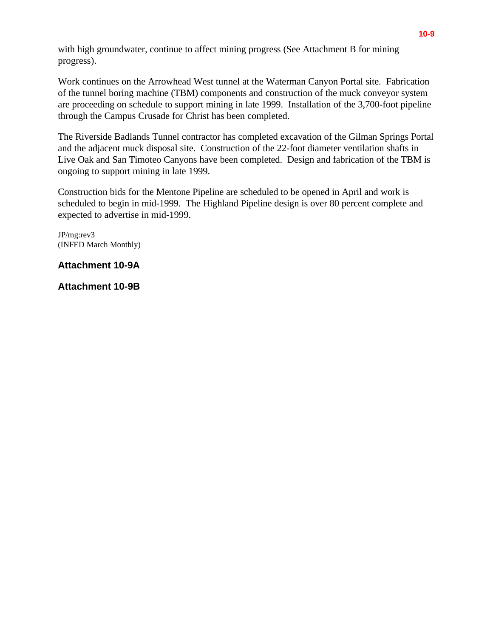with high groundwater, continue to affect mining progress (See Attachment B for mining progress).

Work continues on the Arrowhead West tunnel at the Waterman Canyon Portal site. Fabrication of the tunnel boring machine (TBM) components and construction of the muck conveyor system are proceeding on schedule to support mining in late 1999. Installation of the 3,700-foot pipeline through the Campus Crusade for Christ has been completed.

The Riverside Badlands Tunnel contractor has completed excavation of the Gilman Springs Portal and the adjacent muck disposal site. Construction of the 22-foot diameter ventilation shafts in Live Oak and San Timoteo Canyons have been completed. Design and fabrication of the TBM is ongoing to support mining in late 1999.

Construction bids for the Mentone Pipeline are scheduled to be opened in April and work is scheduled to begin in mid-1999. The Highland Pipeline design is over 80 percent complete and expected to advertise in mid-1999.

JP/mg:rev3 (INFED March Monthly)

## **Attachment 10-9A**

**Attachment 10-9B**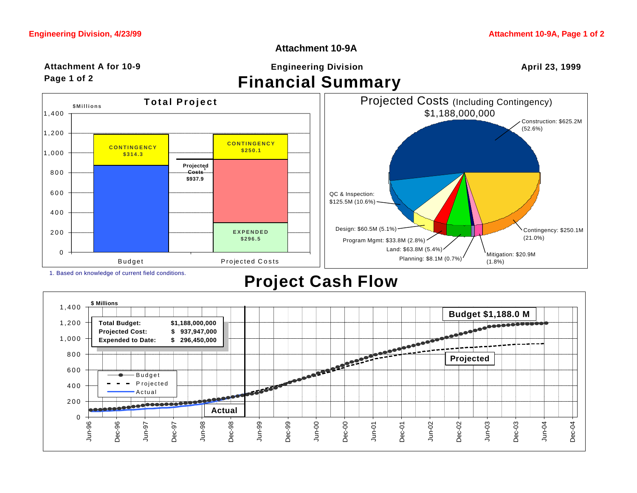**\$Millions**

## **Attachment 10-9A**

#### **Financial Summary Attachment A for 10-9 Page 1 of 2 Engineering Division April 23, 1999**

**Total Project**

**Projected Costs 1 \$937.9** 



1. Based on knowledge of current field conditions.

**CONTINGENCY \$314.3**

0

200

400

600

800

1,000

1,200

1,400

**Project Cash Flow**

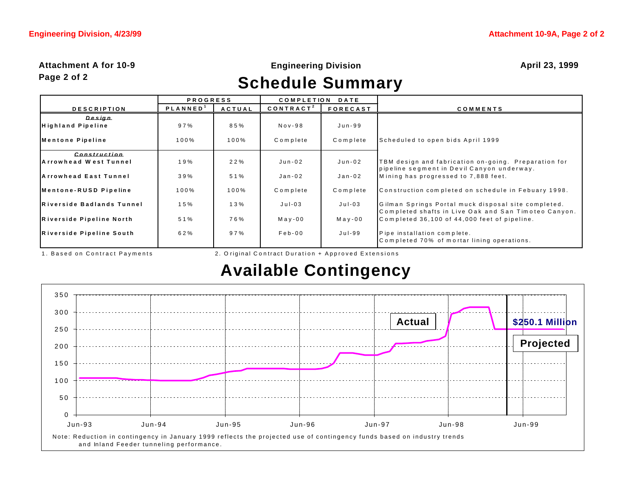#### **Attachment A for 10-9 Page 2 of 2**

### **Engineering Division April 23, 1999**

# **Schedule Summary**

|                                | <b>PROGRESS</b> |               | <b>COMPLETION</b><br><b>DATE</b> |                 |                                                                                                             |
|--------------------------------|-----------------|---------------|----------------------------------|-----------------|-------------------------------------------------------------------------------------------------------------|
| <b>DESCRIPTION</b>             | <b>PLANNED</b>  | <b>ACTUAL</b> | CONTRACT <sup>2</sup>            | <b>FORECAST</b> | COMMENTS                                                                                                    |
| Design                         |                 |               |                                  |                 |                                                                                                             |
| <b>Highland Pipeline</b>       | 97%             | 85%           | $Nov-98$                         | Jun-99          |                                                                                                             |
| Mentone Pipeline               | 100%            | 100%          | Complete                         | Complete        | Scheduled to open bids April 1999                                                                           |
| Construction                   |                 |               |                                  |                 |                                                                                                             |
| <b>IA rrowhead West Tunnel</b> | 19%             | 22%           | Jun-02                           | Jun-02          | TBM design and fabrication on–going. Preparation for<br>pipeline segment in Devil Canyon underway.          |
| <b>IArrowhead East Tunnel</b>  | 39%             | 51%           | Jan-02                           | Jan-02          | Mining has progressed to 7,888 feet.                                                                        |
| Mentone-RUSD Pipeline          | 100%            | 100%          | Complete                         | Complete        | Construction completed on schedule in Febuary 1998.                                                         |
| Riverside Badlands Tunnel      | 15%             | 13%           | $J$ ul-03                        | $Jul-03$        | Gilman Springs Portal muck disposal site completed.<br>Completed shafts in Live Oak and San Timoteo Canyon. |
| Riverside Pipeline North       | 51%             | 76%           | $M$ a y - 00                     | $M$ ay-00       | Completed 36,100 of 44,000 feet of pipeline.                                                                |
| Riverside Pipeline South       | 62%             | 97%           | $Feb-00$                         | Jul-99          | Pipe installation complete.<br>Completed 70% of mortar lining operations.                                   |

1. Based on Contract Payments 2. O riginal Con tract Duration + Approved Extensions

# **Available Contingency**

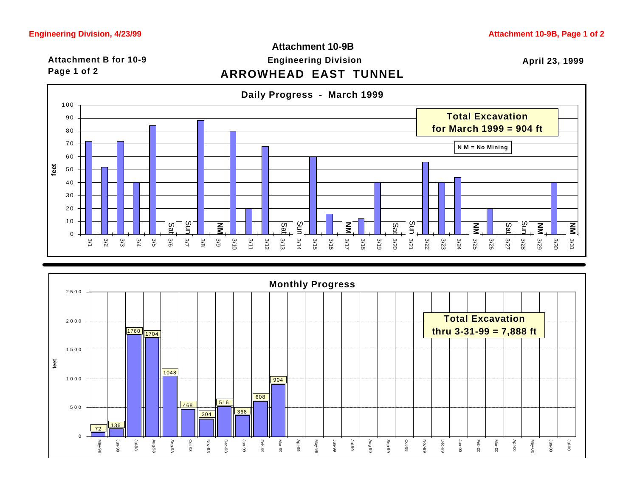## **ARROWHEAD EAST TUNNEL** Attachment B for 10-9 **Engineering Division Attachment 10-9B**

**April 23, 1999**





# **Page 1 of 2**